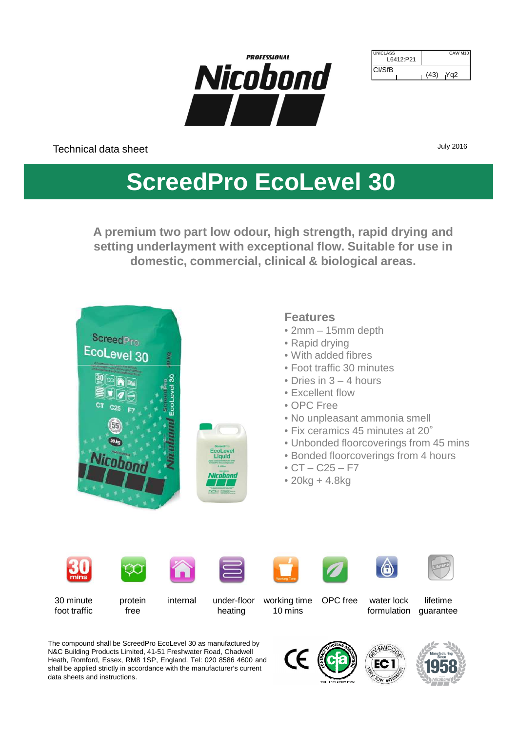

| <b>JUNICLASS</b><br>L6412:P21 |      | CAW M <sub>10</sub> |
|-------------------------------|------|---------------------|
| ICI/SfB                       | (43) | Yn2                 |

Technical data sheet

July 2016

# **ScreedPro EcoLevel 30**

**A premium two part low odour, high strength, rapid drying and setting underlayment with exceptional flow. Suitable for use in domestic, commercial, clinical & biological areas.**



The compound shall be ScreedPro EcoLevel 30 as manufactured by N&C Building Products Limited, 41-51 Freshwater Road, Chadwell Heath, Romford, Essex, RM8 1SP, England. Tel: 020 8586 4600 and shall be applied strictly in accordance with the manufacturer's current data sheets and instructions.





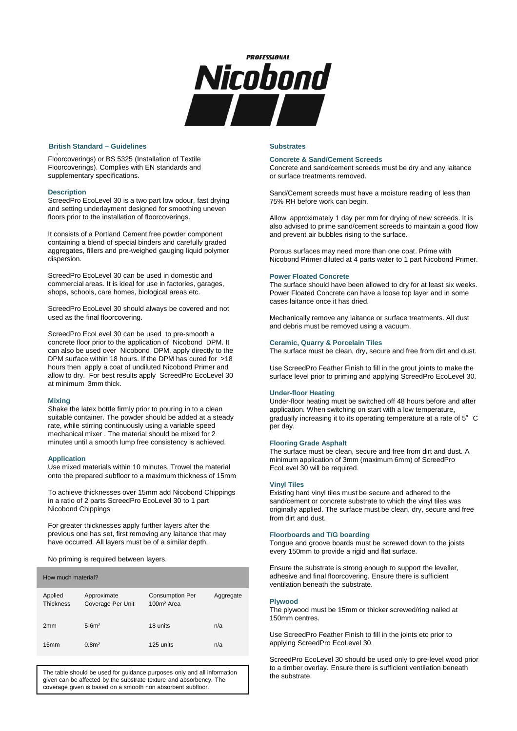

#### All aspects of the installation must be in accordance with the **British Standard – Guidelines Substrates Substrates Substrates**

Floorcoverings) or BS 5325 (Installation of Textile Floorcoverings). Complies with EN standards and supplementary specifications.

#### **Description**

ScreedPro EcoLevel 30 is a two part low odour, fast drying and setting underlayment designed for smoothing uneven floors prior to the installation of floorcoverings.

It consists of a Portland Cement free powder component containing a blend of special binders and carefully graded aggregates, fillers and pre-weighed gauging liquid polymer dispersion.

ScreedPro EcoLevel 30 can be used in domestic and commercial areas. It is ideal for use in factories, garages, shops, schools, care homes, biological areas etc.

ScreedPro EcoLevel 30 should always be covered and not used as the final floorcovering.

ScreedPro EcoLevel 30 can be used to pre-smooth a concrete floor prior to the application of Nicobond DPM. It can also be used over Nicobond DPM, apply directly to the DPM surface within 18 hours. If the DPM has cured for >18 hours then apply a coat of undiluted Nicobond Primer and allow to dry. For best results apply ScreedPro EcoLevel 30 at minimum 3mm thick.

#### **Mixing**

Shake the latex bottle firmly prior to pouring in to a clean suitable container. The powder should be added at a steady rate, while stirring continuously using a variable speed mechanical mixer . The material should be mixed for 2 minutes until a smooth lump free consistency is achieved.

#### **Application**

Use mixed materials within 10 minutes. Trowel the material onto the prepared subfloor to a maximum thickness of 15mm

To achieve thicknesses over 15mm add Nicobond Chippings in a ratio of 2 parts ScreedPro EcoLevel 30 to 1 part Nicobond Chippings

For greater thicknesses apply further layers after the previous one has set, first removing any laitance that may have occurred. All layers must be of a similar depth.

No priming is required between layers.

| How much material?          |                                  |                                                  |           |  |  |  |  |
|-----------------------------|----------------------------------|--------------------------------------------------|-----------|--|--|--|--|
| Applied<br><b>Thickness</b> | Approximate<br>Coverage Per Unit | <b>Consumption Per</b><br>100m <sup>2</sup> Area | Aggregate |  |  |  |  |
| 2mm                         | $5-6m2$                          | 18 units                                         | n/a       |  |  |  |  |
| 15mm                        | 0.8 <sup>m2</sup>                | 125 units                                        | n/a       |  |  |  |  |

The table should be used for guidance purposes only and all information the substrate. given can be affected by the substrate texture and absorbency. The coverage given is based on a smooth non absorbent subfloor.

# **Concrete & Sand/Cement Screeds**

Concrete and sand/cement screeds must be dry and any laitance or surface treatments removed.

Sand/Cement screeds must have a moisture reading of less than 75% RH before work can begin.

Allow approximately 1 day per mm for drying of new screeds. It is also advised to prime sand/cement screeds to maintain a good flow and prevent air bubbles rising to the surface.

Porous surfaces may need more than one coat. Prime with Nicobond Primer diluted at 4 parts water to 1 part Nicobond Primer.

#### **Power Floated Concrete**

The surface should have been allowed to dry for at least six weeks. Power Floated Concrete can have a loose top layer and in some cases laitance once it has dried.

Mechanically remove any laitance or surface treatments. All dust and debris must be removed using a vacuum.

#### **Ceramic, Quarry & Porcelain Tiles**

The surface must be clean, dry, secure and free from dirt and dust.

Use ScreedPro Feather Finish to fill in the grout joints to make the surface level prior to priming and applying ScreedPro EcoLevel 30.

# **Under-floor Heating**

Under-floor heating must be switched off 48 hours before and after application. When switching on start with a low temperature, gradually increasing it to its operating temperature at a rate of 5° C per day.

#### **Flooring Grade Asphalt**

The surface must be clean, secure and free from dirt and dust. A minimum application of 3mm (maximum 6mm) of ScreedPro EcoLevel 30 will be required.

# **Vinyl Tiles**

Existing hard vinyl tiles must be secure and adhered to the sand/cement or concrete substrate to which the vinyl tiles was originally applied. The surface must be clean, dry, secure and free from dirt and dust.

#### **Floorboards and T/G boarding**

Tongue and groove boards must be screwed down to the joists every 150mm to provide a rigid and flat surface.

Ensure the substrate is strong enough to support the leveller, adhesive and final floorcovering. Ensure there is sufficient ventilation beneath the substrate.

# **Plywood**

The plywood must be 15mm or thicker screwed/ring nailed at 150mm centres.

Use ScreedPro Feather Finish to fill in the joints etc prior to applying ScreedPro EcoLevel 30.

ScreedPro EcoLevel 30 should be used only to pre-level wood prior to a timber overlay. Ensure there is sufficient ventilation beneath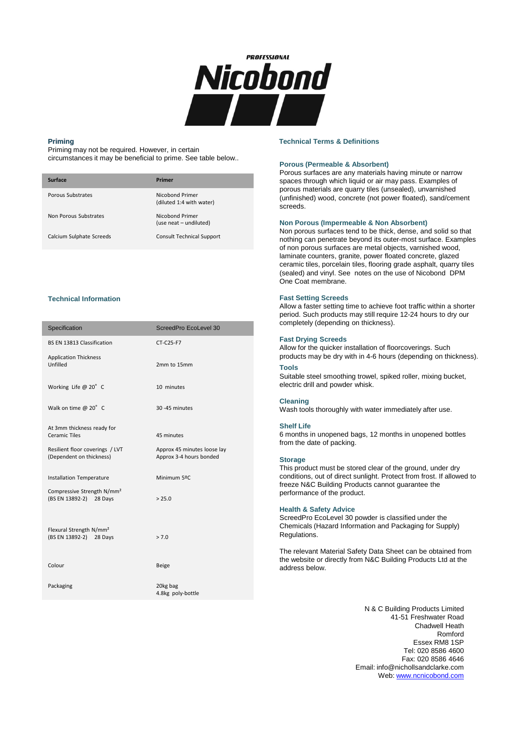

# **Priming**

Priming may not be required. However, in certain circumstances it may be beneficial to prime. See table below..

| Surface                  | Primer                                      |
|--------------------------|---------------------------------------------|
| Porous Substrates        | Nicobond Primer<br>(diluted 1:4 with water) |
| Non Porous Substrates    | Nicobond Primer<br>(use neat – undiluted)   |
| Calcium Sulphate Screeds | <b>Consult Technical Support</b>            |

# **Technical Information**

| Specification                                                     | ScreedPro EcoLevel 30                                  |
|-------------------------------------------------------------------|--------------------------------------------------------|
| BS EN 13813 Classification                                        | CT-C25-F7                                              |
| <b>Application Thickness</b><br>Unfilled                          | 2mm to 15mm                                            |
| Working Life @ 20° C                                              | 10 minutes                                             |
| Walk on time @ 20° C                                              | 30-45 minutes                                          |
| At 3mm thickness ready for<br><b>Ceramic Tiles</b>                | 45 minutes                                             |
| Resilient floor coverings / LVT<br>(Dependent on thickness)       | Approx 45 minutes loose lay<br>Approx 3-4 hours bonded |
| <b>Installation Temperature</b>                                   | Minimum 5ºC                                            |
| Compressive Strength N/mm <sup>2</sup><br>(BS EN 13892-2) 28 Days | > 25.0                                                 |
| Flexural Strength N/mm <sup>2</sup><br>(BS EN 13892-2) 28 Days    | > 7.0                                                  |
| Colour                                                            | <b>Beige</b>                                           |
| Packaging                                                         | 20kg bag<br>4.8kg poly-bottle                          |

#### **Technical Terms & Definitions**

# **Porous (Permeable & Absorbent)**

Porous surfaces are any materials having minute or narrow spaces through which liquid or air may pass. Examples of porous materials are quarry tiles (unsealed), unvarnished (unfinished) wood, concrete (not power floated), sand/cement screeds.

# **Non Porous (Impermeable & Non Absorbent)**

Non porous surfaces tend to be thick, dense, and solid so that nothing can penetrate beyond its outer-most surface. Examples of non porous surfaces are metal objects, varnished wood, laminate counters, granite, power floated concrete, glazed ceramic tiles, porcelain tiles, flooring grade asphalt, quarry tiles (sealed) and vinyl. See notes on the use of Nicobond DPM One Coat membrane.

# **Fast Setting Screeds**

Allow a faster setting time to achieve foot traffic within a shorter period. Such products may still require 12-24 hours to dry our completely (depending on thickness).

# **Fast Drying Screeds**

Allow for the quicker installation of floorcoverings. Such products may be dry with in 4-6 hours (depending on thickness).

#### **Tools**

Suitable steel smoothing trowel, spiked roller, mixing bucket, electric drill and powder whisk.

# **Cleaning**

Wash tools thoroughly with water immediately after use.

#### **Shelf Life**

6 months in unopened bags, 12 months in unopened bottles from the date of packing.

#### **Storage**

This product must be stored clear of the ground, under dry conditions, out of direct sunlight. Protect from frost. If allowed to freeze N&C Building Products cannot guarantee the performance of the product.

# **Health & Safety Advice**

ScreedPro EcoLevel 30 powder is classified under the Chemicals (Hazard Information and Packaging for Supply) Regulations.

The relevant Material Safety Data Sheet can be obtained from the website or directly from N&C Building Products Ltd at the address below.

> N & C Building Products Limited 41-51 Freshwater Road Chadwell Heath Romford Essex RM8 1SP Tel: 020 8586 4600 Fax: 020 8586 4646 Email: info@nichollsandclarke.com Web: www.ncnicobond.com